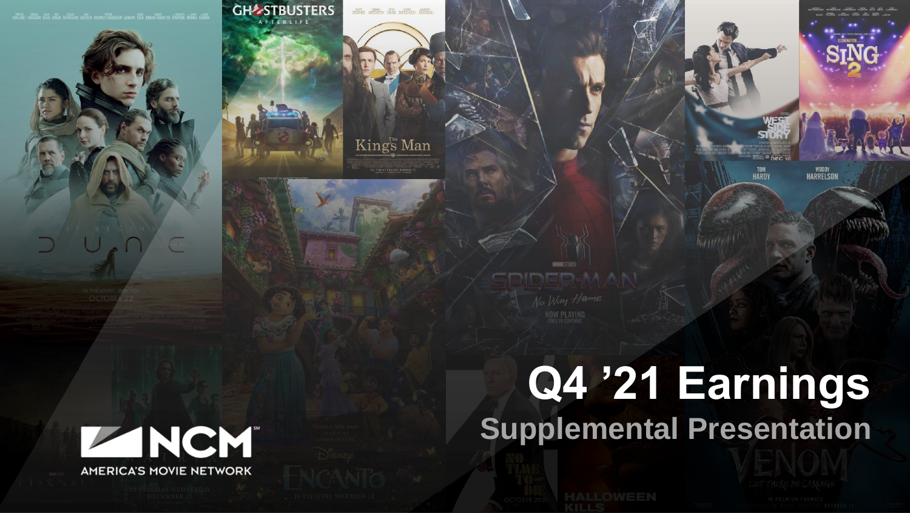





# **Q4 '21 Earnings Supplemental Presentation**

TOM<br>HARDY

**WOODY**<br>HARRELSOL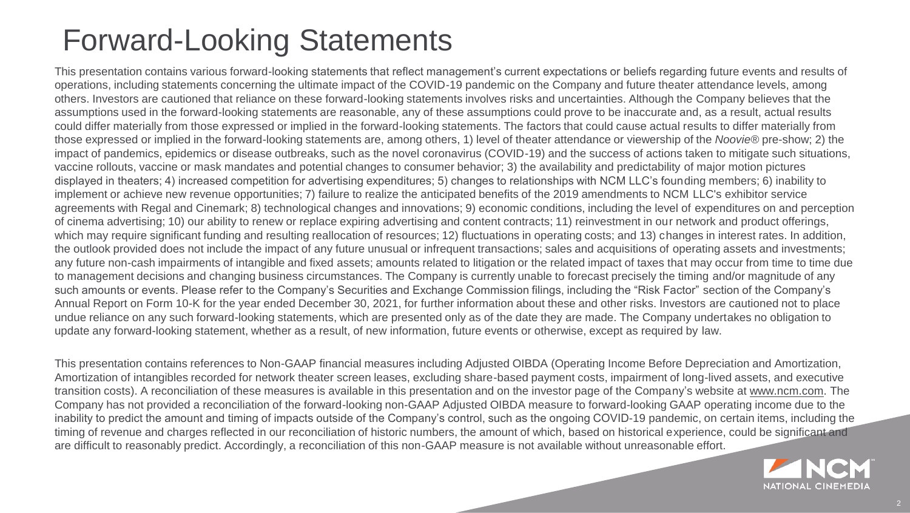#### Forward-Looking Statements

This presentation contains various forward-looking statements that reflect management's current expectations or beliefs regarding future events and results of operations, including statements concerning the ultimate impact of the COVID-19 pandemic on the Company and future theater attendance levels, among others. Investors are cautioned that reliance on these forward-looking statements involves risks and uncertainties. Although the Company believes that the assumptions used in the forward-looking statements are reasonable, any of these assumptions could prove to be inaccurate and, as a result, actual results could differ materially from those expressed or implied in the forward-looking statements. The factors that could cause actual results to differ materially from those expressed or implied in the forward-looking statements are, among others, 1) level of theater attendance or viewership of the *Noovie®* pre-show; 2) the impact of pandemics, epidemics or disease outbreaks, such as the novel coronavirus (COVID-19) and the success of actions taken to mitigate such situations, vaccine rollouts, vaccine or mask mandates and potential changes to consumer behavior; 3) the availability and predictability of major motion pictures displayed in theaters; 4) increased competition for advertising expenditures; 5) changes to relationships with NCM LLC's founding members; 6) inability to implement or achieve new revenue opportunities; 7) failure to realize the anticipated benefits of the 2019 amendments to NCM LLC's exhibitor service agreements with Regal and Cinemark; 8) technological changes and innovations; 9) economic conditions, including the level of expenditures on and perception of cinema advertising; 10) our ability to renew or replace expiring advertising and content contracts; 11) reinvestment in our network and product offerings, which may require significant funding and resulting reallocation of resources; 12) fluctuations in operating costs; and 13) changes in interest rates. In addition, the outlook provided does not include the impact of any future unusual or infrequent transactions; sales and acquisitions of operating assets and investments; any future non-cash impairments of intangible and fixed assets; amounts related to litigation or the related impact of taxes that may occur from time to time due to management decisions and changing business circumstances. The Company is currently unable to forecast precisely the timing and/or magnitude of any such amounts or events. Please refer to the Company's Securities and Exchange Commission filings, including the "Risk Factor" section of the Company's Annual Report on Form 10-K for the year ended December 30, 2021, for further information about these and other risks. Investors are cautioned not to place undue reliance on any such forward-looking statements, which are presented only as of the date they are made. The Company undertakes no obligation to update any forward-looking statement, whether as a result, of new information, future events or otherwise, except as required by law.

This presentation contains references to Non-GAAP financial measures including Adjusted OIBDA (Operating Income Before Depreciation and Amortization, Amortization of intangibles recorded for network theater screen leases, excluding share-based payment costs, impairment of long-lived assets, and executive transition costs). A reconciliation of these measures is available in this presentation and on the investor page of the Company's website at [www.ncm.com.](http://www.ncm.com/) The Company has not provided a reconciliation of the forward-looking non-GAAP Adjusted OIBDA measure to forward-looking GAAP operating income due to the inability to predict the amount and timing of impacts outside of the Company's control, such as the ongoing COVID-19 pandemic, on certain items, including the timing of revenue and charges reflected in our reconciliation of historic numbers, the amount of which, based on historical experience, could be significant and are difficult to reasonably predict. Accordingly, a reconciliation of this non-GAAP measure is not available without unreasonable effort.

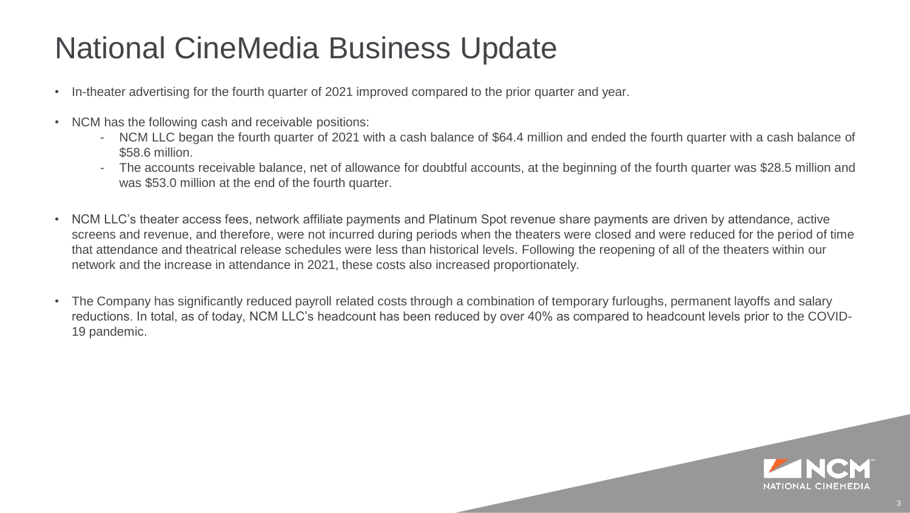#### National CineMedia Business Update

- In-theater advertising for the fourth quarter of 2021 improved compared to the prior quarter and year.
- NCM has the following cash and receivable positions:
	- NCM LLC began the fourth quarter of 2021 with a cash balance of \$64.4 million and ended the fourth quarter with a cash balance of \$58.6 million.
	- The accounts receivable balance, net of allowance for doubtful accounts, at the beginning of the fourth quarter was \$28.5 million and was \$53.0 million at the end of the fourth quarter.
- NCM LLC's theater access fees, network affiliate payments and Platinum Spot revenue share payments are driven by attendance, active screens and revenue, and therefore, were not incurred during periods when the theaters were closed and were reduced for the period of time that attendance and theatrical release schedules were less than historical levels. Following the reopening of all of the theaters within our network and the increase in attendance in 2021, these costs also increased proportionately.
- The Company has significantly reduced payroll related costs through a combination of temporary furloughs, permanent layoffs and salary reductions. In total, as of today, NCM LLC's headcount has been reduced by over 40% as compared to headcount levels prior to the COVID-19 pandemic.

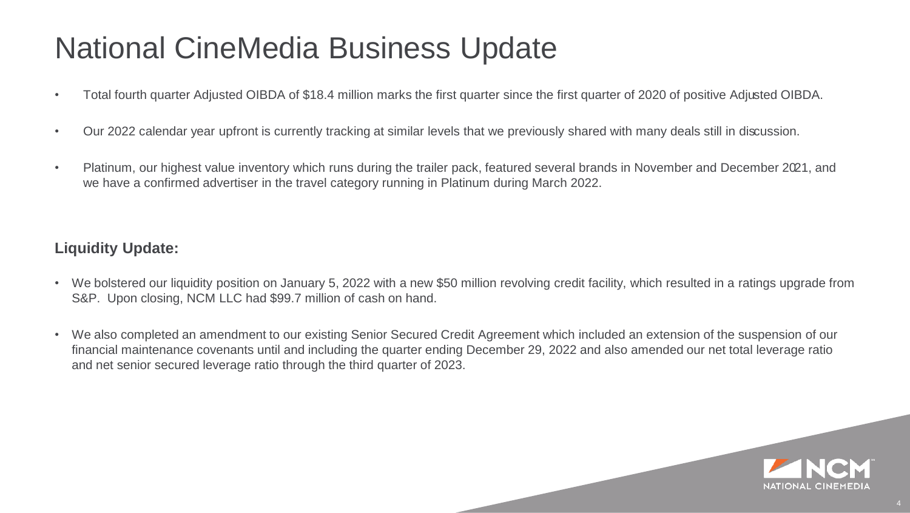#### National CineMedia Business Update

- Total fourth quarter Adjusted OIBDA of \$18.4 million marks the first quarter since the first quarter of 2020 of positive Adjusted OIBDA.
- Our 2022 calendar year upfront is currently tracking at similar levels that we previously shared with many deals still in discussion.
- Platinum, our highest value inventory which runs during the trailer pack, featured several brands in November and December 2021, and we have a confirmed advertiser in the travel category running in Platinum during March 2022.

#### **Liquidity Update:**

- We bolstered our liquidity position on January 5, 2022 with a new \$50 million revolving credit facility, which resulted in a ratings upgrade from S&P. Upon closing, NCM LLC had \$99.7 million of cash on hand.
- We also completed an amendment to our existing Senior Secured Credit Agreement which included an extension of the suspension of our financial maintenance covenants until and including the quarter ending December 29, 2022 and also amended our net total leverage ratio and net senior secured leverage ratio through the third quarter of 2023.

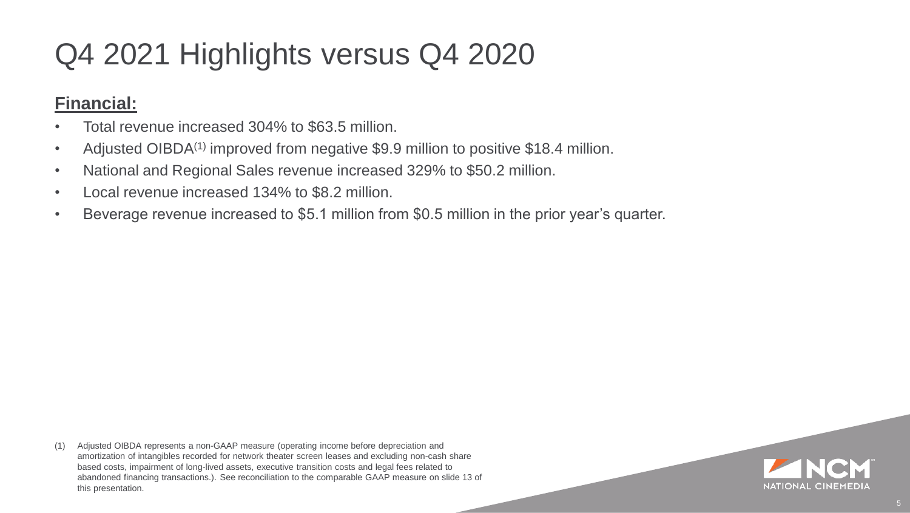### Q4 2021 Highlights versus Q4 2020

#### **Financial:**

- Total revenue increased 304% to \$63.5 million.
- Adjusted OIBDA<sup>(1)</sup> improved from negative \$9.9 million to positive \$18.4 million.
- National and Regional Sales revenue increased 329% to \$50.2 million.
- Local revenue increased 134% to \$8.2 million.
- Beverage revenue increased to \$5.1 million from \$0.5 million in the prior year's quarter.

(1) Adjusted OIBDA represents a non-GAAP measure (operating income before depreciation and amortization of intangibles recorded for network theater screen leases and excluding non-cash share based costs, impairment of long-lived assets, executive transition costs and legal fees related to abandoned financing transactions.). See reconciliation to the comparable GAAP measure on slide 13 of this presentation.

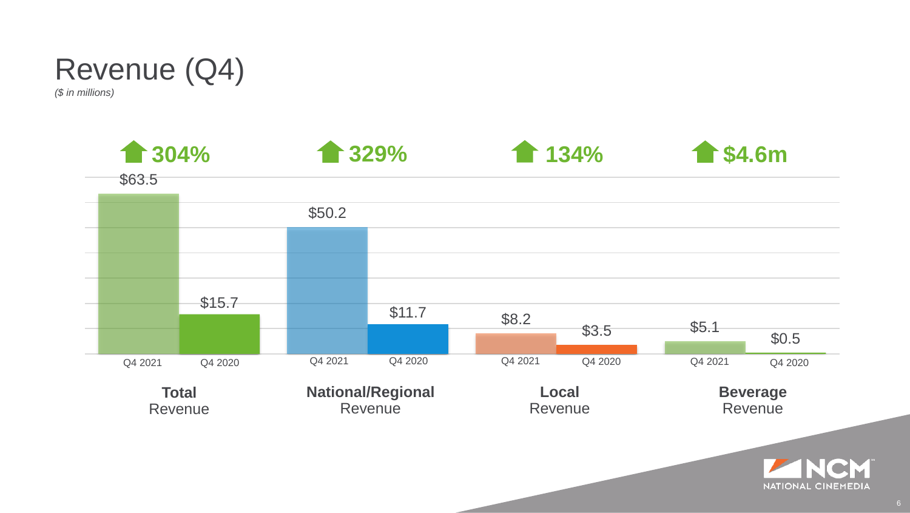

*(\$ in millions)*

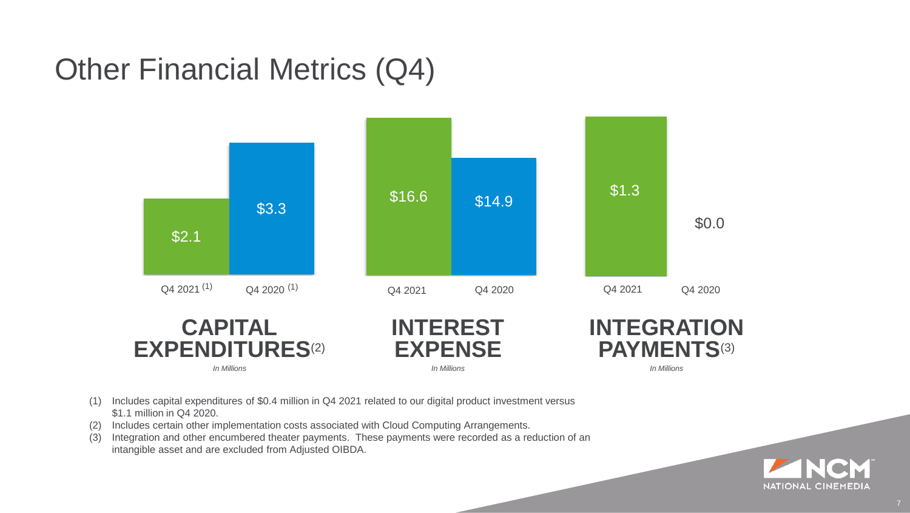#### Other Financial Metrics (Q4)



- (1) Includes capital expenditures of \$0.4 million in Q4 2021 related to our digital product investment versus \$1.1 million in Q4 2020.
- (2) Includes certain other implementation costs associated with Cloud Computing Arrangements.
- (3) Integration and other encumbered theater payments. These payments were recorded as a reduction of an intangible asset and are excluded from Adjusted OIBDA.

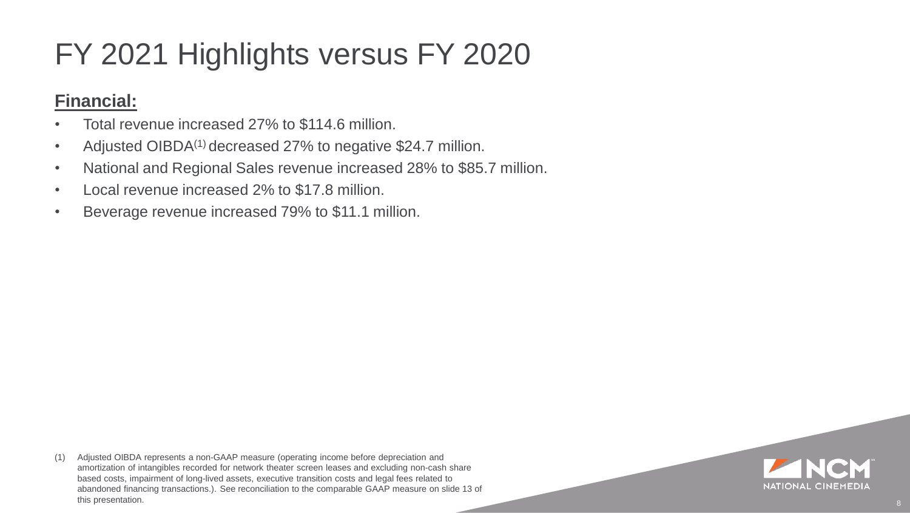### FY 2021 Highlights versus FY 2020

#### **Financial:**

- Total revenue increased 27% to \$114.6 million.
- Adjusted OIBDA<sup>(1)</sup> decreased 27% to negative \$24.7 million.
- National and Regional Sales revenue increased 28% to \$85.7 million.
- Local revenue increased 2% to \$17.8 million.
- Beverage revenue increased 79% to \$11.1 million.

(1) Adjusted OIBDA represents a non-GAAP measure (operating income before depreciation and amortization of intangibles recorded for network theater screen leases and excluding non-cash share based costs, impairment of long-lived assets, executive transition costs and legal fees related to abandoned financing transactions.). See reconciliation to the comparable GAAP measure on slide 13 of this presentation.

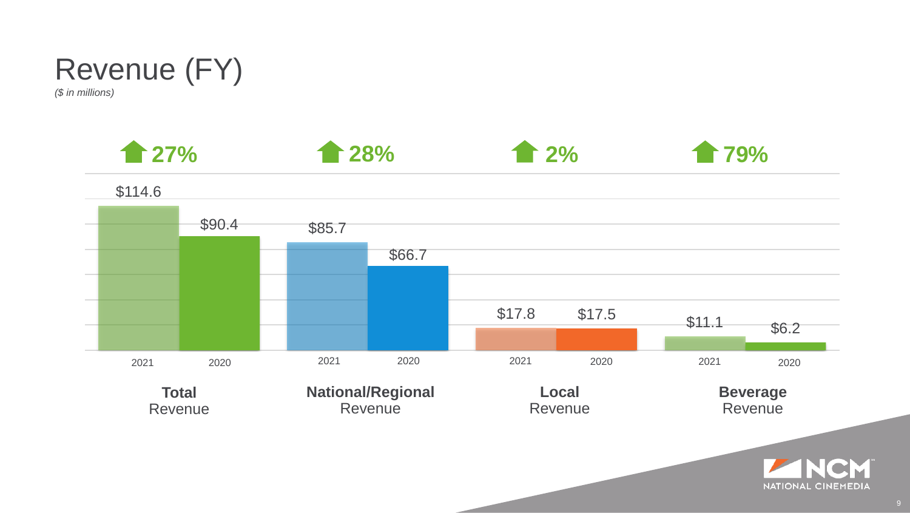

*(\$ in millions)*

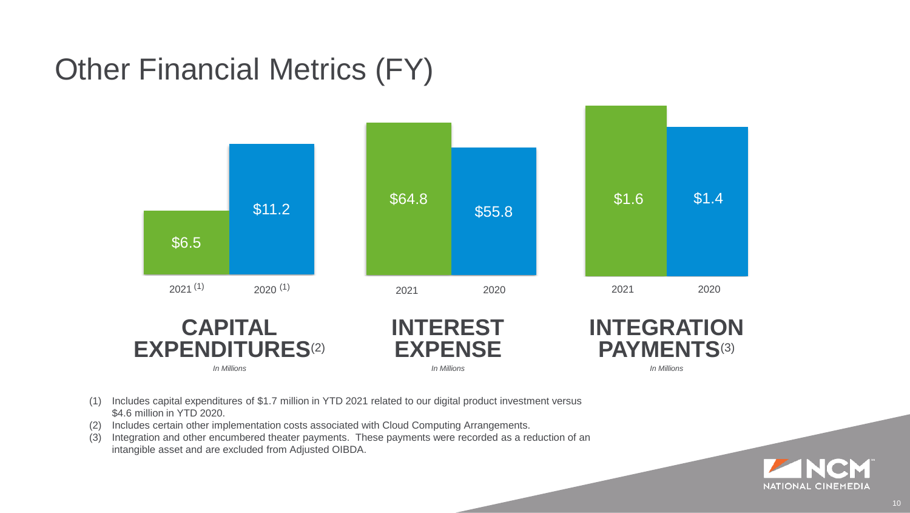### Other Financial Metrics (FY)



- (1) Includes capital expenditures of \$1.7 million in YTD 2021 related to our digital product investment versus \$4.6 million in YTD 2020.
- (2) Includes certain other implementation costs associated with Cloud Computing Arrangements.
- (3) Integration and other encumbered theater payments. These payments were recorded as a reduction of an intangible asset and are excluded from Adjusted OIBDA.

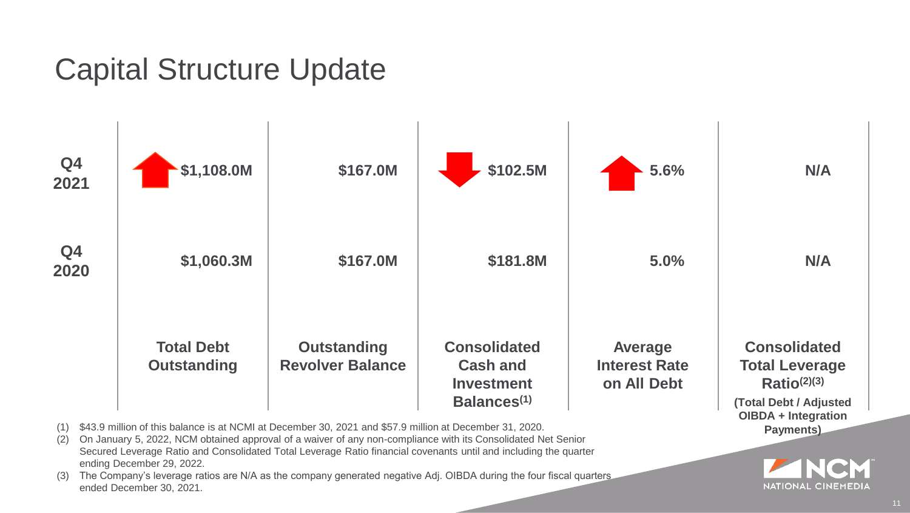#### Capital Structure Update



- (1) \$43.9 million of this balance is at NCMI at December 30, 2021 and \$57.9 million at December 31, 2020.
- (2) On January 5, 2022, NCM obtained approval of a waiver of any non-compliance with its Consolidated Net Senior Secured Leverage Ratio and Consolidated Total Leverage Ratio financial covenants until and including the quarter ending December 29, 2022.
- (3) The Company's leverage ratios are N/A as the company generated negative Adj. OIBDA during the four fiscal quarters ended December 30, 2021.

**NATIONAL CINEMEDIA** 

**Payments)**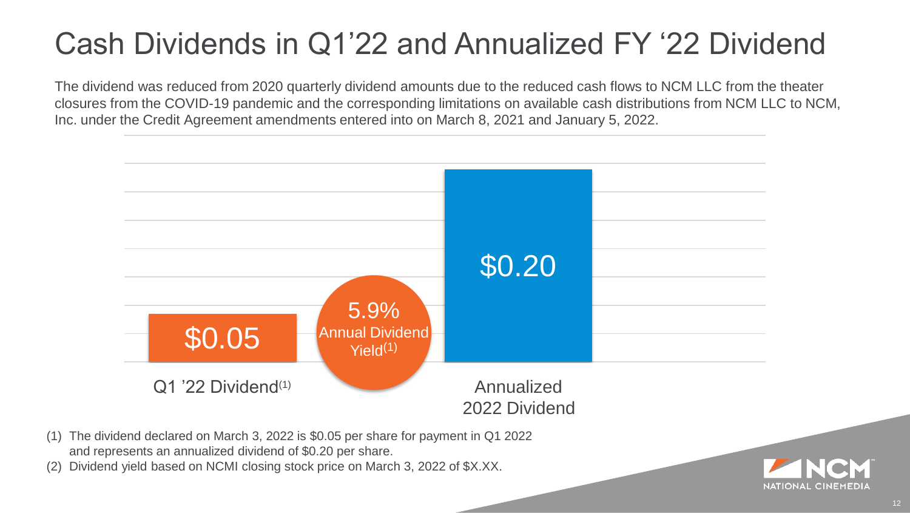### Cash Dividends in Q1'22 and Annualized FY '22 Dividend

The dividend was reduced from 2020 quarterly dividend amounts due to the reduced cash flows to NCM LLC from the theater closures from the COVID-19 pandemic and the corresponding limitations on available cash distributions from NCM LLC to NCM, Inc. under the Credit Agreement amendments entered into on March 8, 2021 and January 5, 2022.



- (1) The dividend declared on March 3, 2022 is \$0.05 per share for payment in Q1 2022 and represents an annualized dividend of \$0.20 per share.
- Dividend yield based on NCMI closing stock price on March 3, 2022 of \$X.XX.

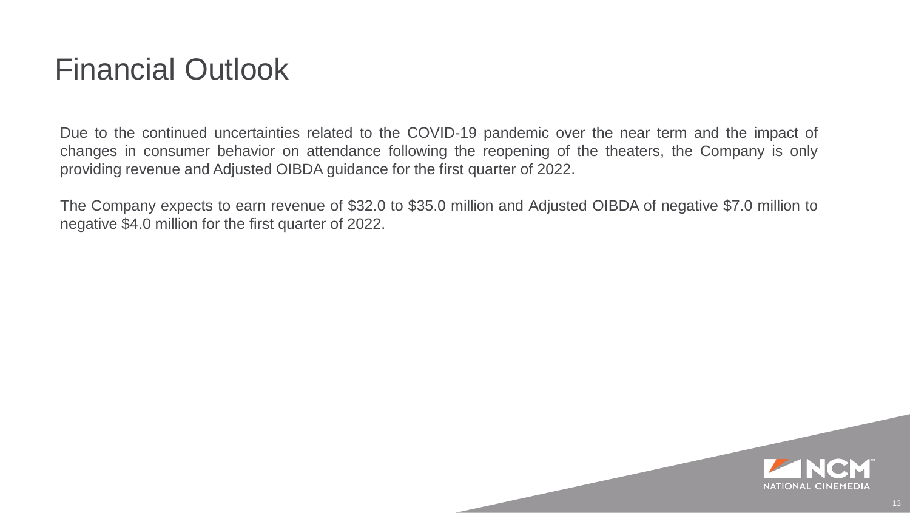#### Financial Outlook

Due to the continued uncertainties related to the COVID-19 pandemic over the near term and the impact of changes in consumer behavior on attendance following the reopening of the theaters, the Company is only providing revenue and Adjusted OIBDA guidance for the first quarter of 2022.

The Company expects to earn revenue of \$32.0 to \$35.0 million and Adjusted OIBDA of negative \$7.0 million to negative \$4.0 million for the first quarter of 2022.

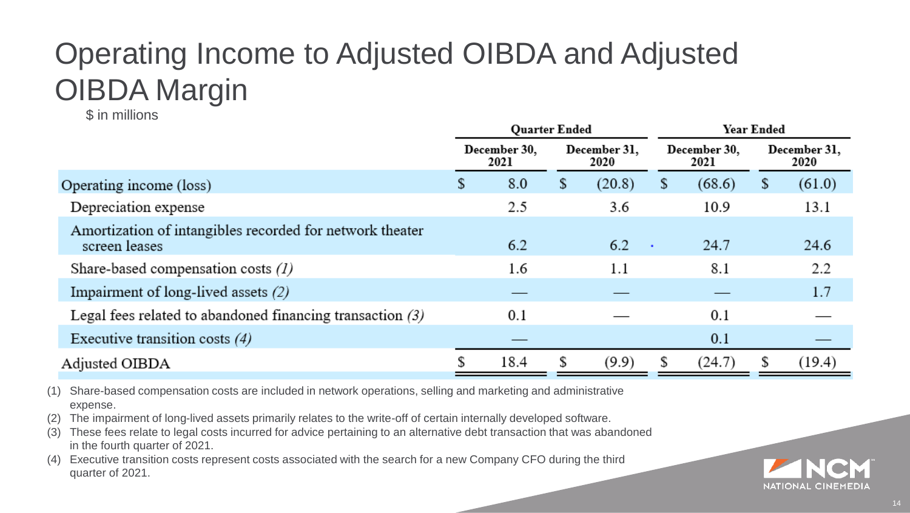## Operating Income to Adjusted OIBDA and Adjusted OIBDA Margin

\$ in millions

|                                                                           | <b>Ouarter Ended</b> |      |                      |            |                      | Year Ended |                      |        |  |
|---------------------------------------------------------------------------|----------------------|------|----------------------|------------|----------------------|------------|----------------------|--------|--|
|                                                                           | December 30,<br>2021 |      | December 31,<br>2020 |            | December 30.<br>2021 |            | December 31,<br>2020 |        |  |
| Operating income (loss)                                                   | \$                   | 8.0  | \$                   | (20.8)     | $\mathbf{p}$         | (68.6)     | \$                   | (61.0) |  |
| Depreciation expense                                                      |                      | 2.5  |                      | 3.6        |                      | 10.9       |                      | 13.1   |  |
| Amortization of intangibles recorded for network theater<br>screen leases |                      | 6.2  |                      | 6.2<br>- 4 |                      | 24.7       |                      | 24.6   |  |
| Share-based compensation costs $(1)$                                      |                      | 1.6  |                      | 1.1        |                      | 8.1        |                      | 2.2    |  |
| Impairment of long-lived assets $(2)$                                     |                      |      |                      |            |                      |            |                      | 1.7    |  |
| Legal fees related to abandoned financing transaction $(3)$               |                      | 0.1  |                      |            |                      | 0.1        |                      |        |  |
| Executive transition costs $(4)$                                          |                      |      |                      |            |                      | 0.1        |                      |        |  |
| Adjusted OIBDA                                                            |                      | 18.4 | S                    | (9.9)      | S                    | (24.7)     |                      | (19.4) |  |
|                                                                           |                      |      |                      |            |                      |            |                      |        |  |

(1) Share-based compensation costs are included in network operations, selling and marketing and administrative expense.

(2) The impairment of long-lived assets primarily relates to the write-off of certain internally developed software.

These fees relate to legal costs incurred for advice pertaining to an alternative debt transaction that was abandoned in the fourth quarter of 2021.

Executive transition costs represent costs associated with the search for a new Company CFO during the third quarter of 2021.